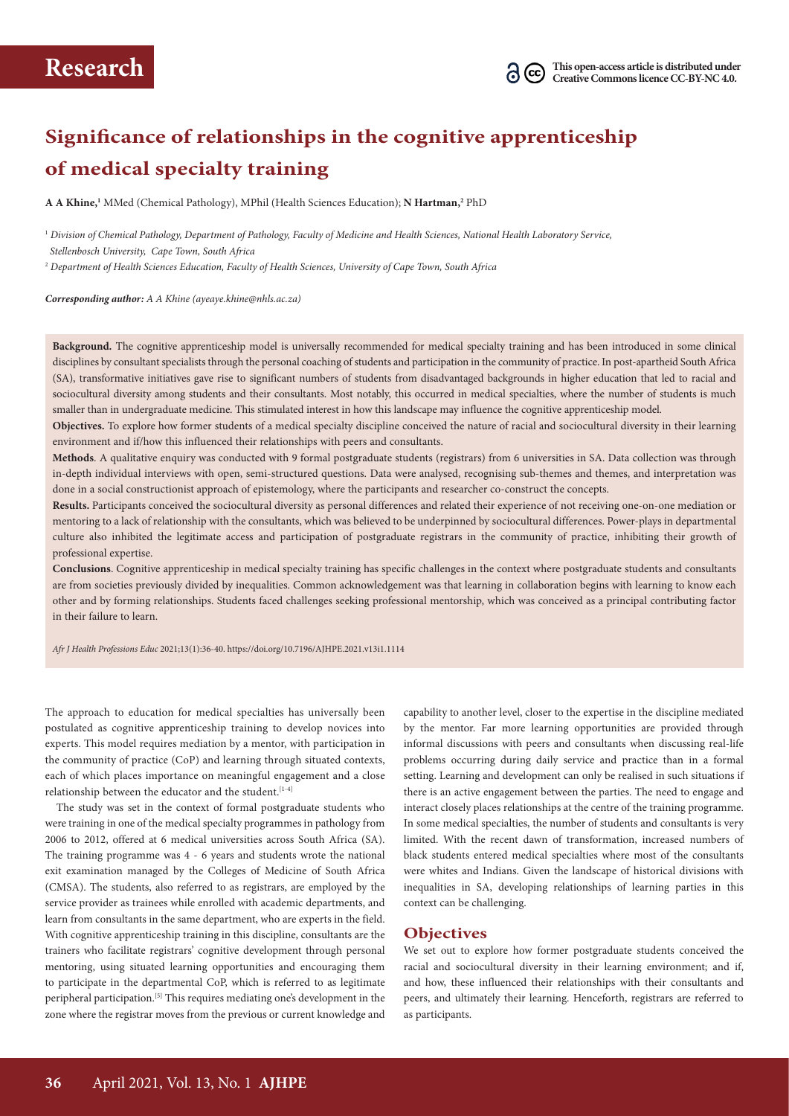# **Significance of relationships in the cognitive apprenticeship of medical specialty training**

**A A Khine,1** MMed (Chemical Pathology), MPhil (Health Sciences Education); **N Hartman,2** PhD

<sup>1</sup> *Division of Chemical Pathology, Department of Pathology, Faculty of Medicine and Health Sciences, National Health Laboratory Service,* 

 *Stellenbosch University, Cape Town, South Africa*

<sup>2</sup> *Department of Health Sciences Education, Faculty of Health Sciences, University of Cape Town, South Africa*

*Corresponding author: A A Khine (ayeaye.khine@nhls.ac.za)*

**Background.** The cognitive apprenticeship model is universally recommended for medical specialty training and has been introduced in some clinical disciplines by consultant specialists through the personal coaching of students and participation in the community of practice. In post-apartheid South Africa (SA), transformative initiatives gave rise to significant numbers of students from disadvantaged backgrounds in higher education that led to racial and sociocultural diversity among students and their consultants. Most notably, this occurred in medical specialties, where the number of students is much smaller than in undergraduate medicine. This stimulated interest in how this landscape may influence the cognitive apprenticeship model.

**Objectives.** To explore how former students of a medical specialty discipline conceived the nature of racial and sociocultural diversity in their learning environment and if/how this influenced their relationships with peers and consultants.

**Methods**. A qualitative enquiry was conducted with 9 formal postgraduate students (registrars) from 6 universities in SA. Data collection was through in-depth individual interviews with open, semi-structured questions. Data were analysed, recognising sub-themes and themes, and interpretation was done in a social constructionist approach of epistemology, where the participants and researcher co-construct the concepts.

**Results.** Participants conceived the sociocultural diversity as personal differences and related their experience of not receiving one-on-one mediation or mentoring to a lack of relationship with the consultants, which was believed to be underpinned by sociocultural differences. Power-plays in departmental culture also inhibited the legitimate access and participation of postgraduate registrars in the community of practice, inhibiting their growth of professional expertise.

**Conclusions**. Cognitive apprenticeship in medical specialty training has specific challenges in the context where postgraduate students and consultants are from societies previously divided by inequalities. Common acknowledgement was that learning in collaboration begins with learning to know each other and by forming relationships. Students faced challenges seeking professional mentorship, which was conceived as a principal contributing factor in their failure to learn.

*Afr J Health Professions Educ* 2021;13(1):36-40. https://doi.org/10.7196/AJHPE.2021.v13i1.1114

The approach to education for medical specialties has universally been postulated as cognitive apprenticeship training to develop novices into experts. This model requires mediation by a mentor, with participation in the community of practice (CoP) and learning through situated contexts, each of which places importance on meaningful engagement and a close relationship between the educator and the student.<sup>[1-4]</sup>

The study was set in the context of formal postgraduate students who were training in one of the medical specialty programmes in pathology from 2006 to 2012, offered at 6 medical universities across South Africa (SA). The training programme was 4 - 6 years and students wrote the national exit examination managed by the Colleges of Medicine of South Africa (CMSA). The students, also referred to as registrars, are employed by the service provider as trainees while enrolled with academic departments, and learn from consultants in the same department, who are experts in the field. With cognitive apprenticeship training in this discipline, consultants are the trainers who facilitate registrars' cognitive development through personal mentoring, using situated learning opportunities and encouraging them to participate in the departmental CoP, which is referred to as legitimate peripheral participation.[5] This requires mediating one's development in the zone where the registrar moves from the previous or current knowledge and

capability to another level, closer to the expertise in the discipline mediated by the mentor. Far more learning opportunities are provided through informal discussions with peers and consultants when discussing real-life problems occurring during daily service and practice than in a formal setting. Learning and development can only be realised in such situations if there is an active engagement between the parties. The need to engage and interact closely places relationships at the centre of the training programme. In some medical specialties, the number of students and consultants is very limited. With the recent dawn of transformation, increased numbers of black students entered medical specialties where most of the consultants were whites and Indians. Given the landscape of historical divisions with inequalities in SA, developing relationships of learning parties in this context can be challenging.

## **Objectives**

We set out to explore how former postgraduate students conceived the racial and sociocultural diversity in their learning environment; and if, and how, these influenced their relationships with their consultants and peers, and ultimately their learning. Henceforth, registrars are referred to as participants.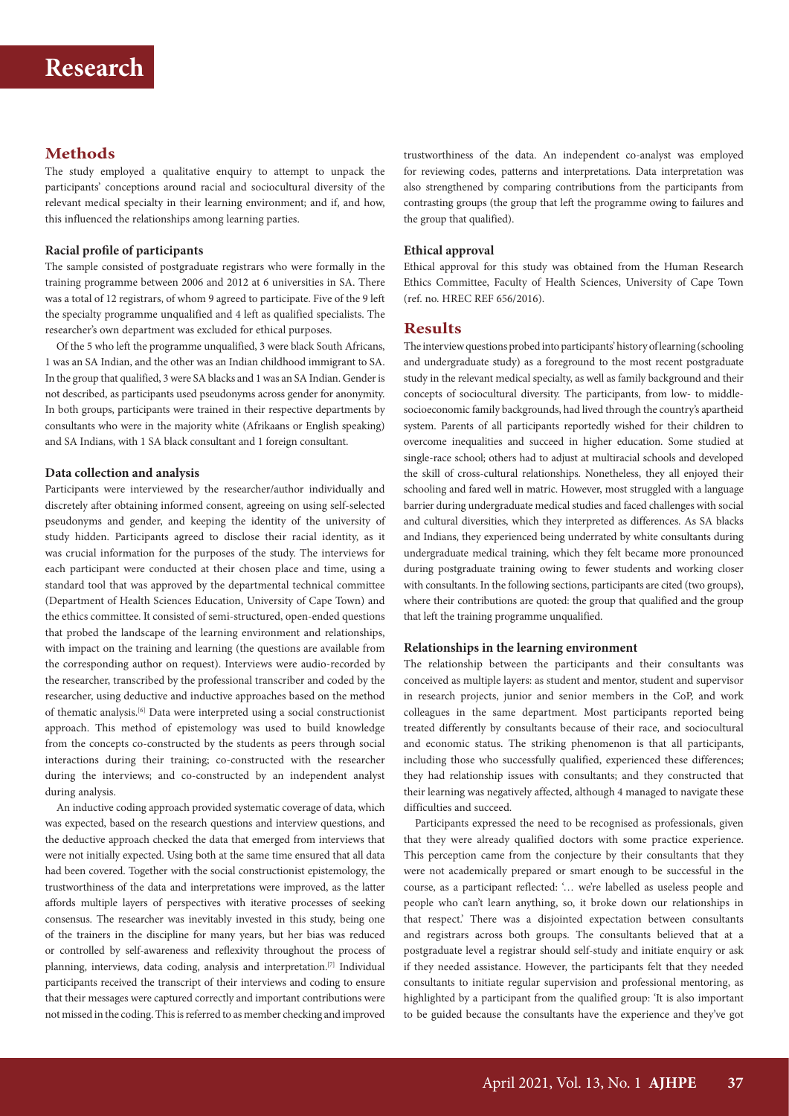## **Methods**

The study employed a qualitative enquiry to attempt to unpack the participants' conceptions around racial and sociocultural diversity of the relevant medical specialty in their learning environment; and if, and how, this influenced the relationships among learning parties.

## **Racial profile of participants**

The sample consisted of postgraduate registrars who were formally in the training programme between 2006 and 2012 at 6 universities in SA. There was a total of 12 registrars, of whom 9 agreed to participate. Five of the 9 left the specialty programme unqualified and 4 left as qualified specialists. The researcher's own department was excluded for ethical purposes.

Of the 5 who left the programme unqualified, 3 were black South Africans, 1 was an SA Indian, and the other was an Indian childhood immigrant to SA. In the group that qualified, 3 were SA blacks and 1 was an SA Indian. Gender is not described, as participants used pseudonyms across gender for anonymity. In both groups, participants were trained in their respective departments by consultants who were in the majority white (Afrikaans or English speaking) and SA Indians, with 1 SA black consultant and 1 foreign consultant.

### **Data collection and analysis**

Participants were interviewed by the researcher/author individually and discretely after obtaining informed consent, agreeing on using self-selected pseudonyms and gender, and keeping the identity of the university of study hidden. Participants agreed to disclose their racial identity, as it was crucial information for the purposes of the study. The interviews for each participant were conducted at their chosen place and time, using a standard tool that was approved by the departmental technical committee (Department of Health Sciences Education, University of Cape Town) and the ethics committee. It consisted of semi-structured, open-ended questions that probed the landscape of the learning environment and relationships, with impact on the training and learning (the questions are available from the corresponding author on request). Interviews were audio-recorded by the researcher, transcribed by the professional transcriber and coded by the researcher, using deductive and inductive approaches based on the method of thematic analysis.[6] Data were interpreted using a social constructionist approach. This method of epistemology was used to build knowledge from the concepts co-constructed by the students as peers through social interactions during their training; co-constructed with the researcher during the interviews; and co-constructed by an independent analyst during analysis.

An inductive coding approach provided systematic coverage of data, which was expected, based on the research questions and interview questions, and the deductive approach checked the data that emerged from interviews that were not initially expected. Using both at the same time ensured that all data had been covered. Together with the social constructionist epistemology, the trustworthiness of the data and interpretations were improved, as the latter affords multiple layers of perspectives with iterative processes of seeking consensus. The researcher was inevitably invested in this study, being one of the trainers in the discipline for many years, but her bias was reduced or controlled by self-awareness and reflexivity throughout the process of planning, interviews, data coding, analysis and interpretation.[7] Individual participants received the transcript of their interviews and coding to ensure that their messages were captured correctly and important contributions were not missed in the coding. This is referred to as member checking and improved

trustworthiness of the data. An independent co-analyst was employed for reviewing codes, patterns and interpretations. Data interpretation was also strengthened by comparing contributions from the participants from contrasting groups (the group that left the programme owing to failures and the group that qualified).

## **Ethical approval**

Ethical approval for this study was obtained from the Human Research Ethics Committee, Faculty of Health Sciences, University of Cape Town (ref. no. HREC REF 656/2016).

## **Results**

The interview questions probed into participants' history of learning (schooling and undergraduate study) as a foreground to the most recent postgraduate study in the relevant medical specialty, as well as family background and their concepts of sociocultural diversity. The participants, from low- to middlesocioeconomic family backgrounds, had lived through the country's apartheid system. Parents of all participants reportedly wished for their children to overcome inequalities and succeed in higher education. Some studied at single-race school; others had to adjust at multiracial schools and developed the skill of cross-cultural relationships. Nonetheless, they all enjoyed their schooling and fared well in matric. However, most struggled with a language barrier during undergraduate medical studies and faced challenges with social and cultural diversities, which they interpreted as differences. As SA blacks and Indians, they experienced being underrated by white consultants during undergraduate medical training, which they felt became more pronounced during postgraduate training owing to fewer students and working closer with consultants. In the following sections, participants are cited (two groups), where their contributions are quoted: the group that qualified and the group that left the training programme unqualified.

### **Relationships in the learning environment**

The relationship between the participants and their consultants was conceived as multiple layers: as student and mentor, student and supervisor in research projects, junior and senior members in the CoP, and work colleagues in the same department. Most participants reported being treated differently by consultants because of their race, and sociocultural and economic status. The striking phenomenon is that all participants, including those who successfully qualified, experienced these differences; they had relationship issues with consultants; and they constructed that their learning was negatively affected, although 4 managed to navigate these difficulties and succeed.

Participants expressed the need to be recognised as professionals, given that they were already qualified doctors with some practice experience. This perception came from the conjecture by their consultants that they were not academically prepared or smart enough to be successful in the course, as a participant reflected: '… we're labelled as useless people and people who can't learn anything, so, it broke down our relationships in that respect.' There was a disjointed expectation between consultants and registrars across both groups. The consultants believed that at a postgraduate level a registrar should self-study and initiate enquiry or ask if they needed assistance. However, the participants felt that they needed consultants to initiate regular supervision and professional mentoring, as highlighted by a participant from the qualified group: 'It is also important to be guided because the consultants have the experience and they've got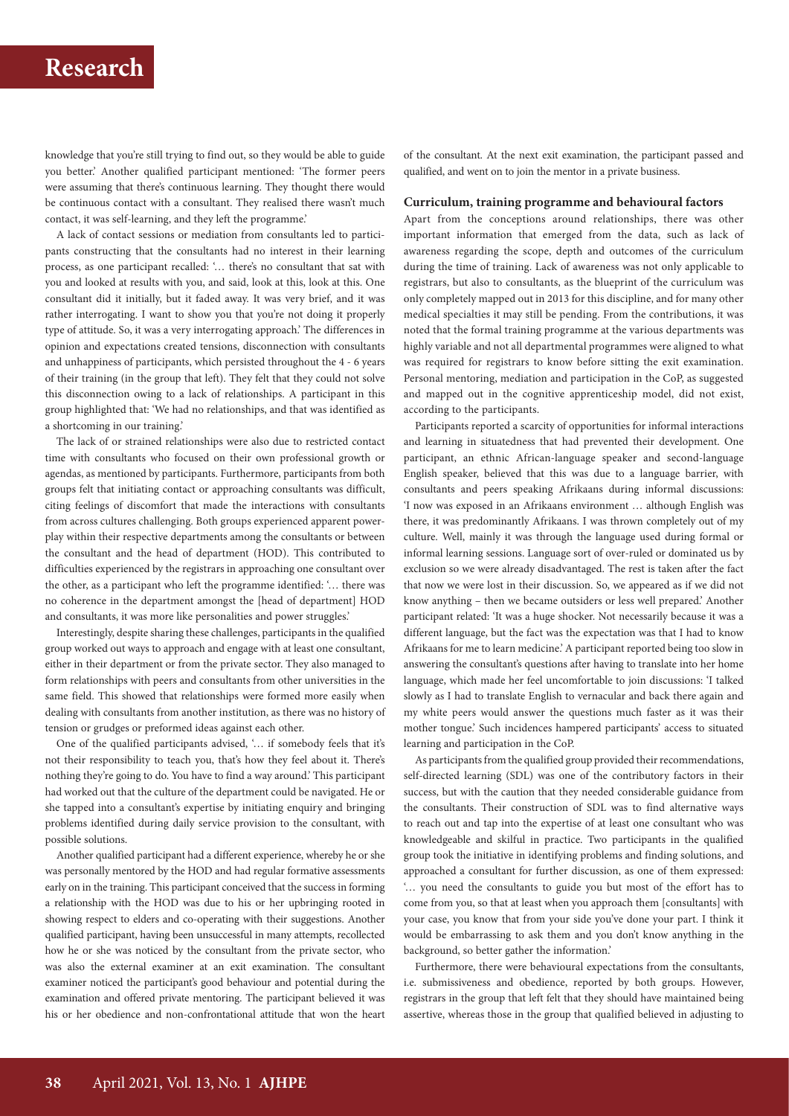# **Research**

knowledge that you're still trying to find out, so they would be able to guide you better.' Another qualified participant mentioned: 'The former peers were assuming that there's continuous learning. They thought there would be continuous contact with a consultant. They realised there wasn't much contact, it was self-learning, and they left the programme.'

A lack of contact sessions or mediation from consultants led to participants constructing that the consultants had no interest in their learning process, as one participant recalled: '… there's no consultant that sat with you and looked at results with you, and said, look at this, look at this. One consultant did it initially, but it faded away. It was very brief, and it was rather interrogating. I want to show you that you're not doing it properly type of attitude. So, it was a very interrogating approach.' The differences in opinion and expectations created tensions, disconnection with consultants and unhappiness of participants, which persisted throughout the 4 - 6 years of their training (in the group that left). They felt that they could not solve this disconnection owing to a lack of relationships. A participant in this group highlighted that: 'We had no relationships, and that was identified as a shortcoming in our training.'

The lack of or strained relationships were also due to restricted contact time with consultants who focused on their own professional growth or agendas, as mentioned by participants. Furthermore, participants from both groups felt that initiating contact or approaching consultants was difficult, citing feelings of discomfort that made the interactions with consultants from across cultures challenging. Both groups experienced apparent powerplay within their respective departments among the consultants or between the consultant and the head of department (HOD). This contributed to difficulties experienced by the registrars in approaching one consultant over the other, as a participant who left the programme identified: '… there was no coherence in the department amongst the [head of department] HOD and consultants, it was more like personalities and power struggles.'

Interestingly, despite sharing these challenges, participants in the qualified group worked out ways to approach and engage with at least one consultant, either in their department or from the private sector. They also managed to form relationships with peers and consultants from other universities in the same field. This showed that relationships were formed more easily when dealing with consultants from another institution, as there was no history of tension or grudges or preformed ideas against each other.

One of the qualified participants advised, '… if somebody feels that it's not their responsibility to teach you, that's how they feel about it. There's nothing they're going to do. You have to find a way around.' This participant had worked out that the culture of the department could be navigated. He or she tapped into a consultant's expertise by initiating enquiry and bringing problems identified during daily service provision to the consultant, with possible solutions.

Another qualified participant had a different experience, whereby he or she was personally mentored by the HOD and had regular formative assessments early on in the training. This participant conceived that the success in forming a relationship with the HOD was due to his or her upbringing rooted in showing respect to elders and co-operating with their suggestions. Another qualified participant, having been unsuccessful in many attempts, recollected how he or she was noticed by the consultant from the private sector, who was also the external examiner at an exit examination. The consultant examiner noticed the participant's good behaviour and potential during the examination and offered private mentoring. The participant believed it was his or her obedience and non-confrontational attitude that won the heart

of the consultant. At the next exit examination, the participant passed and qualified, and went on to join the mentor in a private business.

#### **Curriculum, training programme and behavioural factors**

Apart from the conceptions around relationships, there was other important information that emerged from the data, such as lack of awareness regarding the scope, depth and outcomes of the curriculum during the time of training. Lack of awareness was not only applicable to registrars, but also to consultants, as the blueprint of the curriculum was only completely mapped out in 2013 for this discipline, and for many other medical specialties it may still be pending. From the contributions, it was noted that the formal training programme at the various departments was highly variable and not all departmental programmes were aligned to what was required for registrars to know before sitting the exit examination. Personal mentoring, mediation and participation in the CoP, as suggested and mapped out in the cognitive apprenticeship model, did not exist, according to the participants.

Participants reported a scarcity of opportunities for informal interactions and learning in situatedness that had prevented their development. One participant, an ethnic African-language speaker and second-language English speaker, believed that this was due to a language barrier, with consultants and peers speaking Afrikaans during informal discussions: 'I now was exposed in an Afrikaans environment … although English was there, it was predominantly Afrikaans. I was thrown completely out of my culture. Well, mainly it was through the language used during formal or informal learning sessions. Language sort of over-ruled or dominated us by exclusion so we were already disadvantaged. The rest is taken after the fact that now we were lost in their discussion. So, we appeared as if we did not know anything – then we became outsiders or less well prepared.' Another participant related: 'It was a huge shocker. Not necessarily because it was a different language, but the fact was the expectation was that I had to know Afrikaans for me to learn medicine.' A participant reported being too slow in answering the consultant's questions after having to translate into her home language, which made her feel uncomfortable to join discussions: 'I talked slowly as I had to translate English to vernacular and back there again and my white peers would answer the questions much faster as it was their mother tongue.' Such incidences hampered participants' access to situated learning and participation in the CoP.

As participants from the qualified group provided their recommendations, self-directed learning (SDL) was one of the contributory factors in their success, but with the caution that they needed considerable guidance from the consultants. Their construction of SDL was to find alternative ways to reach out and tap into the expertise of at least one consultant who was knowledgeable and skilful in practice. Two participants in the qualified group took the initiative in identifying problems and finding solutions, and approached a consultant for further discussion, as one of them expressed: '… you need the consultants to guide you but most of the effort has to come from you, so that at least when you approach them [consultants] with your case, you know that from your side you've done your part. I think it would be embarrassing to ask them and you don't know anything in the background, so better gather the information.'

Furthermore, there were behavioural expectations from the consultants, i.e. submissiveness and obedience, reported by both groups. However, registrars in the group that left felt that they should have maintained being assertive, whereas those in the group that qualified believed in adjusting to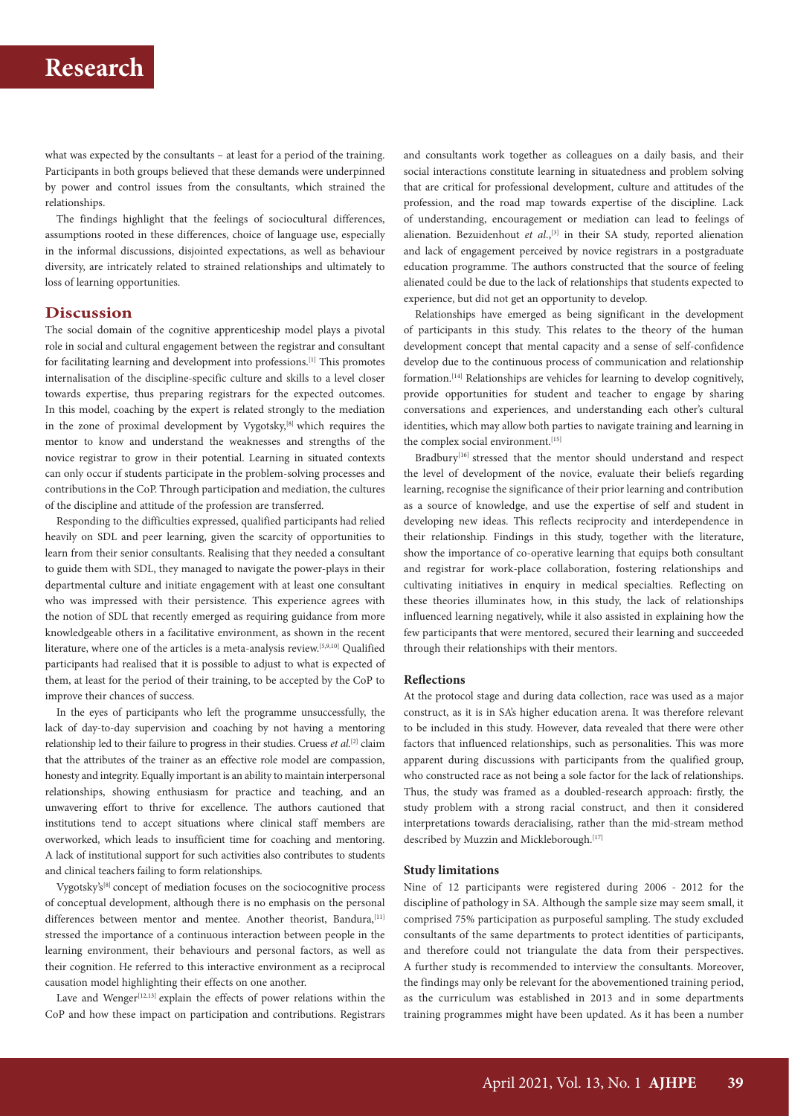# **Research**

what was expected by the consultants – at least for a period of the training. Participants in both groups believed that these demands were underpinned by power and control issues from the consultants, which strained the relationships.

The findings highlight that the feelings of sociocultural differences, assumptions rooted in these differences, choice of language use, especially in the informal discussions, disjointed expectations, as well as behaviour diversity, are intricately related to strained relationships and ultimately to loss of learning opportunities.

## **Discussion**

The social domain of the cognitive apprenticeship model plays a pivotal role in social and cultural engagement between the registrar and consultant for facilitating learning and development into professions.<sup>[1]</sup> This promotes internalisation of the discipline-specific culture and skills to a level closer towards expertise, thus preparing registrars for the expected outcomes. In this model, coaching by the expert is related strongly to the mediation in the zone of proximal development by Vygotsky,<sup>[8]</sup> which requires the mentor to know and understand the weaknesses and strengths of the novice registrar to grow in their potential. Learning in situated contexts can only occur if students participate in the problem-solving processes and contributions in the CoP. Through participation and mediation, the cultures of the discipline and attitude of the profession are transferred.

Responding to the difficulties expressed, qualified participants had relied heavily on SDL and peer learning, given the scarcity of opportunities to learn from their senior consultants. Realising that they needed a consultant to guide them with SDL, they managed to navigate the power-plays in their departmental culture and initiate engagement with at least one consultant who was impressed with their persistence. This experience agrees with the notion of SDL that recently emerged as requiring guidance from more knowledgeable others in a facilitative environment, as shown in the recent literature, where one of the articles is a meta-analysis review.[5,9,10] Qualified participants had realised that it is possible to adjust to what is expected of them, at least for the period of their training, to be accepted by the CoP to improve their chances of success.

In the eyes of participants who left the programme unsuccessfully, the lack of day-to-day supervision and coaching by not having a mentoring relationship led to their failure to progress in their studies. Cruess *et al.*[2] claim that the attributes of the trainer as an effective role model are compassion, honesty and integrity. Equally important is an ability to maintain interpersonal relationships, showing enthusiasm for practice and teaching, and an unwavering effort to thrive for excellence. The authors cautioned that institutions tend to accept situations where clinical staff members are overworked, which leads to insufficient time for coaching and mentoring. A lack of institutional support for such activities also contributes to students and clinical teachers failing to form relationships.

Vygotsky's[8] concept of mediation focuses on the sociocognitive process of conceptual development, although there is no emphasis on the personal differences between mentor and mentee. Another theorist, Bandura, [11] stressed the importance of a continuous interaction between people in the learning environment, their behaviours and personal factors, as well as their cognition. He referred to this interactive environment as a reciprocal causation model highlighting their effects on one another.

Lave and Wenger<sup>[12,13]</sup> explain the effects of power relations within the CoP and how these impact on participation and contributions. Registrars

and consultants work together as colleagues on a daily basis, and their social interactions constitute learning in situatedness and problem solving that are critical for professional development, culture and attitudes of the profession, and the road map towards expertise of the discipline. Lack of understanding, encouragement or mediation can lead to feelings of alienation. Bezuidenhout et al.,<sup>[3]</sup> in their SA study, reported alienation and lack of engagement perceived by novice registrars in a postgraduate education programme. The authors constructed that the source of feeling alienated could be due to the lack of relationships that students expected to experience, but did not get an opportunity to develop.

Relationships have emerged as being significant in the development of participants in this study. This relates to the theory of the human development concept that mental capacity and a sense of self-confidence develop due to the continuous process of communication and relationship formation.[14] Relationships are vehicles for learning to develop cognitively, provide opportunities for student and teacher to engage by sharing conversations and experiences, and understanding each other's cultural identities, which may allow both parties to navigate training and learning in the complex social environment.<sup>[15]</sup>

Bradbury<sup>[16]</sup> stressed that the mentor should understand and respect the level of development of the novice, evaluate their beliefs regarding learning, recognise the significance of their prior learning and contribution as a source of knowledge, and use the expertise of self and student in developing new ideas. This reflects reciprocity and interdependence in their relationship. Findings in this study, together with the literature, show the importance of co-operative learning that equips both consultant and registrar for work-place collaboration, fostering relationships and cultivating initiatives in enquiry in medical specialties. Reflecting on these theories illuminates how, in this study, the lack of relationships influenced learning negatively, while it also assisted in explaining how the few participants that were mentored, secured their learning and succeeded through their relationships with their mentors.

### **Reflections**

At the protocol stage and during data collection, race was used as a major construct, as it is in SA's higher education arena. It was therefore relevant to be included in this study. However, data revealed that there were other factors that influenced relationships, such as personalities. This was more apparent during discussions with participants from the qualified group, who constructed race as not being a sole factor for the lack of relationships. Thus, the study was framed as a doubled-research approach: firstly, the study problem with a strong racial construct, and then it considered interpretations towards deracialising, rather than the mid-stream method described by Muzzin and Mickleborough.<sup>[17]</sup>

#### **Study limitations**

Nine of 12 participants were registered during 2006 - 2012 for the discipline of pathology in SA. Although the sample size may seem small, it comprised 75% participation as purposeful sampling. The study excluded consultants of the same departments to protect identities of participants, and therefore could not triangulate the data from their perspectives. A further study is recommended to interview the consultants. Moreover, the findings may only be relevant for the abovementioned training period, as the curriculum was established in 2013 and in some departments training programmes might have been updated. As it has been a number